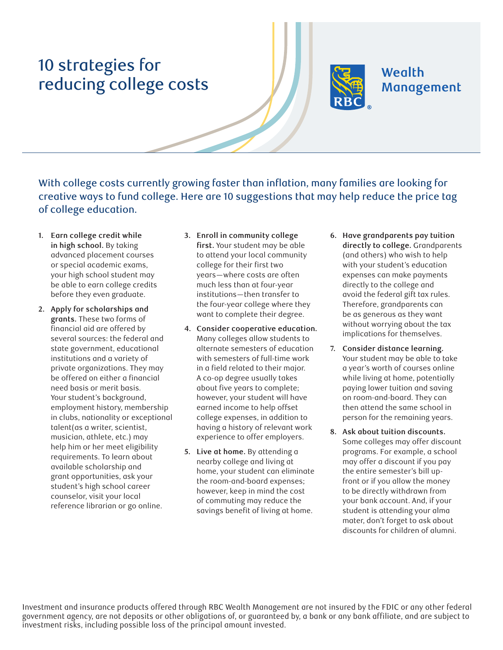## 10 strategies for reducing college costs



**Wealth** Management

With college costs currently growing faster than inflation, many families are looking for creative ways to fund college. Here are 10 suggestions that may help reduce the price tag of college education.

- **1. Earn college credit while in high school.** By taking advanced placement courses or special academic exams, your high school student may be able to earn college credits before they even graduate.
- **2. Apply for scholarships and grants.** These two forms of financial aid are offered by several sources: the federal and state government, educational institutions and a variety of private organizations. They may be offered on either a financial need basis or merit basis. Your student's background, employment history, membership in clubs, nationality or exceptional talent(as a writer, scientist, musician, athlete, etc.) may help him or her meet eligibility requirements. To learn about available scholarship and grant opportunities, ask your student's high school career counselor, visit your local reference librarian or go online.
- **3. Enroll in community college first.** Your student may be able to attend your local community college for their first two years—where costs are often much less than at four-year institutions—then transfer to the four-year college where they want to complete their degree.
- **4. Consider cooperative education.** Many colleges allow students to alternate semesters of education with semesters of full-time work in a field related to their major. A co-op degree usually takes about five years to complete; however, your student will have earned income to help offset college expenses, in addition to having a history of relevant work experience to offer employers.
- **5. Live at home.** By attending a nearby college and living at home, your student can eliminate the room-and-board expenses; however, keep in mind the cost of commuting may reduce the savings benefit of living at home.
- **6. Have grandparents pay tuition directly to college.** Grandparents (and others) who wish to help with your student's education expenses can make payments directly to the college and avoid the federal gift tax rules. Therefore, grandparents can be as generous as they want without worrying about the tax implications for themselves.
- **7. Consider distance learning.** Your student may be able to take a year's worth of courses online while living at home, potentially paying lower tuition and saving on room-and-board. They can then attend the same school in person for the remaining years.
- **8. Ask about tuition discounts.** Some colleges may offer discount programs. For example, a school may offer a discount if you pay the entire semester's bill upfront or if you allow the money to be directly withdrawn from your bank account. And, if your student is attending your alma mater, don't forget to ask about discounts for children of alumni.

Investment and insurance products offered through RBC Wealth Management are not insured by the FDIC or any other federal government agency, are not deposits or other obligations of, or guaranteed by, a bank or any bank affiliate, and are subject to investment risks, including possible loss of the principal amount invested.